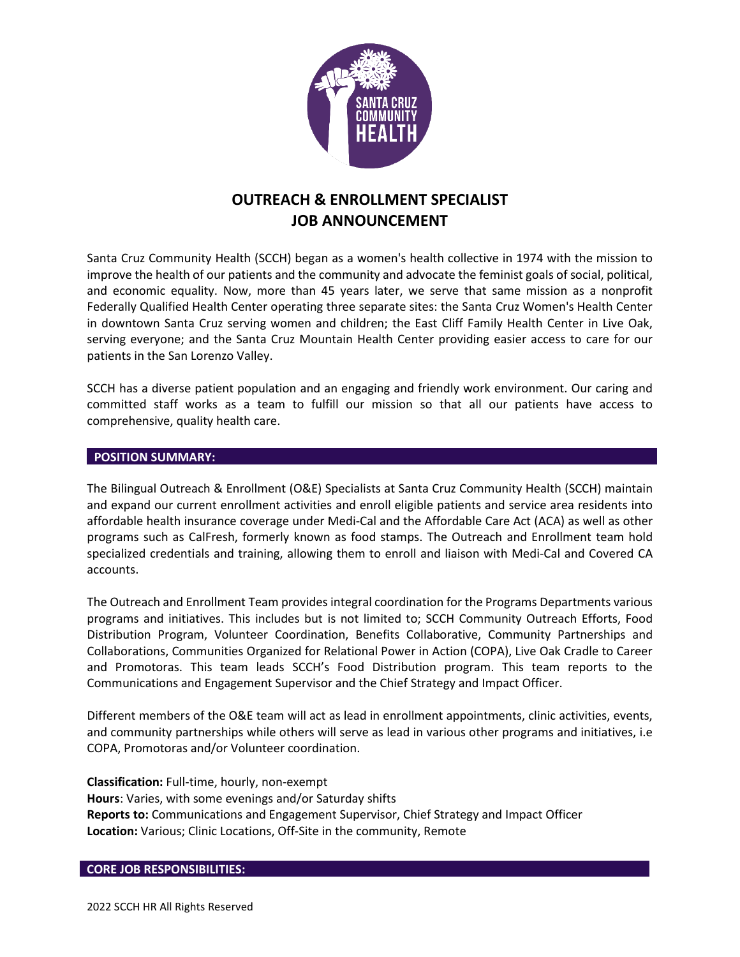

# **OUTREACH & ENROLLMENT SPECIALIST JOB ANNOUNCEMENT**

Santa Cruz Community Health (SCCH) began as a women's health collective in 1974 with the mission to improve the health of our patients and the community and advocate the feminist goals of social, political, and economic equality. Now, more than 45 years later, we serve that same mission as a nonprofit Federally Qualified Health Center operating three separate sites: the Santa Cruz Women's Health Center in downtown Santa Cruz serving women and children; the East Cliff Family Health Center in Live Oak, serving everyone; and the Santa Cruz Mountain Health Center providing easier access to care for our patients in the San Lorenzo Valley.

SCCH has a diverse patient population and an engaging and friendly work environment. Our caring and committed staff works as a team to fulfill our mission so that all our patients have access to comprehensive, quality health care.

#### **POSITION SUMMARY:**

The Bilingual Outreach & Enrollment (O&E) Specialists at Santa Cruz Community Health (SCCH) maintain and expand our current enrollment activities and enroll eligible patients and service area residents into affordable health insurance coverage under Medi-Cal and the Affordable Care Act (ACA) as well as other programs such as CalFresh, formerly known as food stamps. The Outreach and Enrollment team hold specialized credentials and training, allowing them to enroll and liaison with Medi-Cal and Covered CA accounts.

The Outreach and Enrollment Team provides integral coordination for the Programs Departments various programs and initiatives. This includes but is not limited to; SCCH Community Outreach Efforts, Food Distribution Program, Volunteer Coordination, Benefits Collaborative, Community Partnerships and Collaborations, Communities Organized for Relational Power in Action (COPA), Live Oak Cradle to Career and Promotoras. This team leads SCCH's Food Distribution program. This team reports to the Communications and Engagement Supervisor and the Chief Strategy and Impact Officer.

Different members of the O&E team will act as lead in enrollment appointments, clinic activities, events, and community partnerships while others will serve as lead in various other programs and initiatives, i.e COPA, Promotoras and/or Volunteer coordination.

**Classification:** Full-time, hourly, non-exempt **Hours**: Varies, with some evenings and/or Saturday shifts **Reports to:** Communications and Engagement Supervisor, Chief Strategy and Impact Officer **Location:** Various; Clinic Locations, Off-Site in the community, Remote

#### **CORE JOB RESPONSIBILITIES:**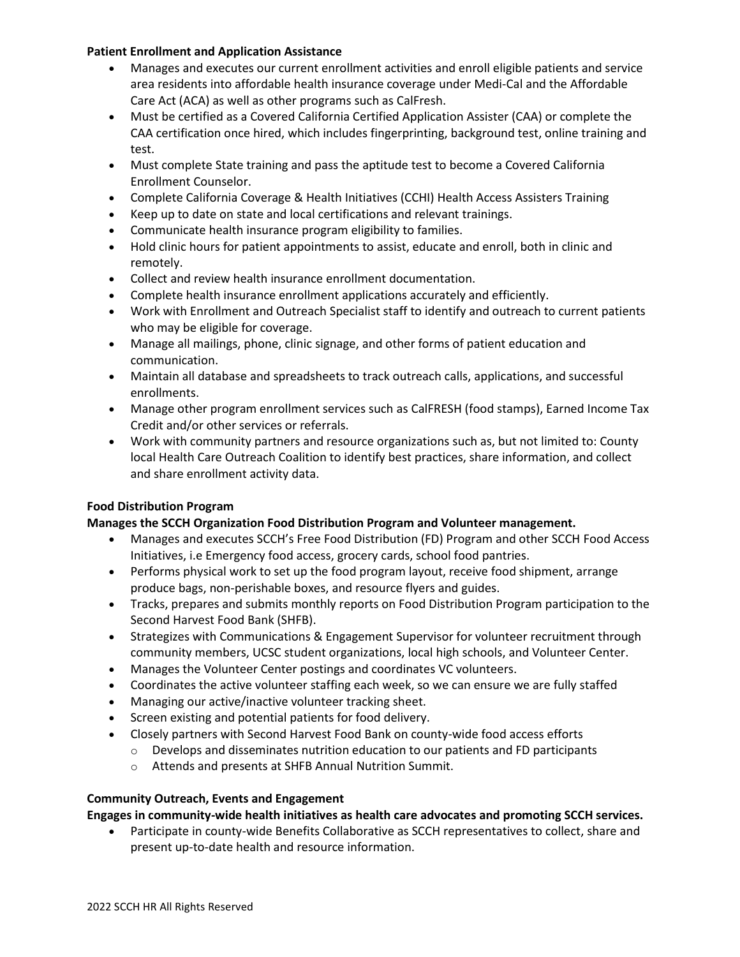## **Patient Enrollment and Application Assistance**

- Manages and executes our current enrollment activities and enroll eligible patients and service area residents into affordable health insurance coverage under Medi-Cal and the Affordable Care Act (ACA) as well as other programs such as CalFresh.
- Must be certified as a Covered California Certified Application Assister (CAA) or complete the CAA certification once hired, which includes fingerprinting, background test, online training and test.
- Must complete State training and pass the aptitude test to become a Covered California Enrollment Counselor.
- Complete California Coverage & Health Initiatives (CCHI) Health Access Assisters Training
- Keep up to date on state and local certifications and relevant trainings.
- Communicate health insurance program eligibility to families.
- Hold clinic hours for patient appointments to assist, educate and enroll, both in clinic and remotely.
- Collect and review health insurance enrollment documentation.
- Complete health insurance enrollment applications accurately and efficiently.
- Work with Enrollment and Outreach Specialist staff to identify and outreach to current patients who may be eligible for coverage.
- Manage all mailings, phone, clinic signage, and other forms of patient education and communication.
- Maintain all database and spreadsheets to track outreach calls, applications, and successful enrollments.
- Manage other program enrollment services such as CalFRESH (food stamps), Earned Income Tax Credit and/or other services or referrals.
- Work with community partners and resource organizations such as, but not limited to: County local Health Care Outreach Coalition to identify best practices, share information, and collect and share enrollment activity data.

## **Food Distribution Program**

# **Manages the SCCH Organization Food Distribution Program and Volunteer management.**

- Manages and executes SCCH's Free Food Distribution (FD) Program and other SCCH Food Access Initiatives, i.e Emergency food access, grocery cards, school food pantries.
- Performs physical work to set up the food program layout, receive food shipment, arrange produce bags, non-perishable boxes, and resource flyers and guides.
- Tracks, prepares and submits monthly reports on Food Distribution Program participation to the Second Harvest Food Bank (SHFB).
- Strategizes with Communications & Engagement Supervisor for volunteer recruitment through community members, UCSC student organizations, local high schools, and Volunteer Center.
- Manages the Volunteer Center postings and coordinates VC volunteers.
- Coordinates the active volunteer staffing each week, so we can ensure we are fully staffed
- Managing our active/inactive volunteer tracking sheet.
- Screen existing and potential patients for food delivery.
- Closely partners with Second Harvest Food Bank on county-wide food access efforts
	- $\circ$  Develops and disseminates nutrition education to our patients and FD participants
	- o Attends and presents at SHFB Annual Nutrition Summit.

## **Community Outreach, Events and Engagement**

**Engages in community-wide health initiatives as health care advocates and promoting SCCH services.**

• Participate in county-wide Benefits Collaborative as SCCH representatives to collect, share and present up-to-date health and resource information.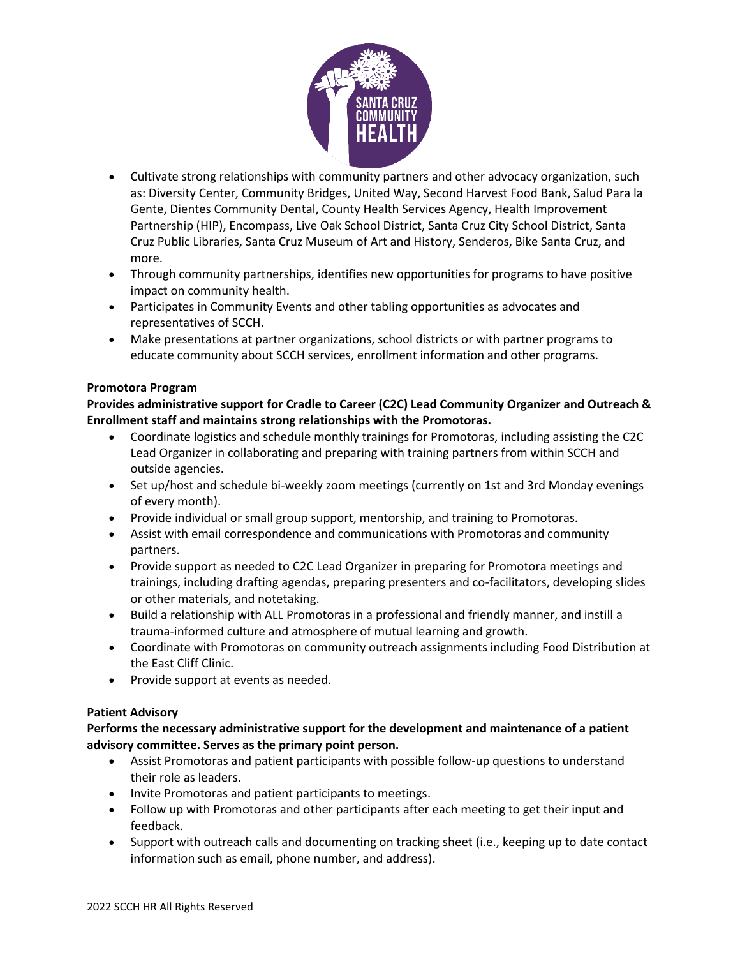

- Cultivate strong relationships with community partners and other advocacy organization, such as: Diversity Center, Community Bridges, United Way, Second Harvest Food Bank, Salud Para la Gente, Dientes Community Dental, County Health Services Agency, Health Improvement Partnership (HIP), Encompass, Live Oak School District, Santa Cruz City School District, Santa Cruz Public Libraries, Santa Cruz Museum of Art and History, Senderos, Bike Santa Cruz, and more.
- Through community partnerships, identifies new opportunities for programs to have positive impact on community health.
- Participates in Community Events and other tabling opportunities as advocates and representatives of SCCH.
- Make presentations at partner organizations, school districts or with partner programs to educate community about SCCH services, enrollment information and other programs.

## **Promotora Program**

**Provides administrative support for Cradle to Career (C2C) Lead Community Organizer and Outreach & Enrollment staff and maintains strong relationships with the Promotoras.**

- Coordinate logistics and schedule monthly trainings for Promotoras, including assisting the C2C Lead Organizer in collaborating and preparing with training partners from within SCCH and outside agencies.
- Set up/host and schedule bi-weekly zoom meetings (currently on 1st and 3rd Monday evenings of every month).
- Provide individual or small group support, mentorship, and training to Promotoras.
- Assist with email correspondence and communications with Promotoras and community partners.
- Provide support as needed to C2C Lead Organizer in preparing for Promotora meetings and trainings, including drafting agendas, preparing presenters and co-facilitators, developing slides or other materials, and notetaking.
- Build a relationship with ALL Promotoras in a professional and friendly manner, and instill a trauma-informed culture and atmosphere of mutual learning and growth.
- Coordinate with Promotoras on community outreach assignments including Food Distribution at the East Cliff Clinic.
- Provide support at events as needed.

# **Patient Advisory**

**Performs the necessary administrative support for the development and maintenance of a patient advisory committee. Serves as the primary point person.**

- Assist Promotoras and patient participants with possible follow-up questions to understand their role as leaders.
- Invite Promotoras and patient participants to meetings.
- Follow up with Promotoras and other participants after each meeting to get their input and feedback.
- Support with outreach calls and documenting on tracking sheet (i.e., keeping up to date contact information such as email, phone number, and address).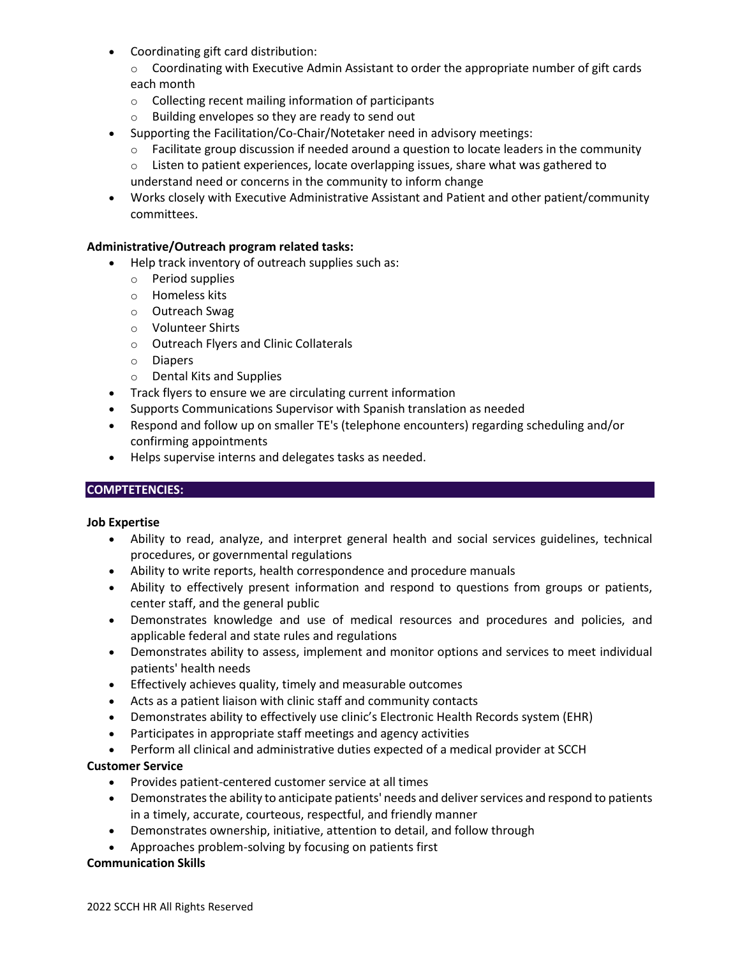- Coordinating gift card distribution:
	- $\circ$  Coordinating with Executive Admin Assistant to order the appropriate number of gift cards each month
	- o Collecting recent mailing information of participants
	- o Building envelopes so they are ready to send out
- Supporting the Facilitation/Co-Chair/Notetaker need in advisory meetings:
	- $\circ$  Facilitate group discussion if needed around a question to locate leaders in the community
	- $\circ$  Listen to patient experiences, locate overlapping issues, share what was gathered to understand need or concerns in the community to inform change
- Works closely with Executive Administrative Assistant and Patient and other patient/community committees.

## **Administrative/Outreach program related tasks:**

- Help track inventory of outreach supplies such as:
	- o Period supplies
	- o Homeless kits
	- o Outreach Swag
	- o Volunteer Shirts
	- o Outreach Flyers and Clinic Collaterals
	- o Diapers
	- o Dental Kits and Supplies
- Track flyers to ensure we are circulating current information
- Supports Communications Supervisor with Spanish translation as needed
- Respond and follow up on smaller TE's (telephone encounters) regarding scheduling and/or confirming appointments
- Helps supervise interns and delegates tasks as needed.

## **COMPTETENCIES:**

## **Job Expertise**

- Ability to read, analyze, and interpret general health and social services guidelines, technical procedures, or governmental regulations
- Ability to write reports, health correspondence and procedure manuals
- Ability to effectively present information and respond to questions from groups or patients, center staff, and the general public
- Demonstrates knowledge and use of medical resources and procedures and policies, and applicable federal and state rules and regulations
- Demonstrates ability to assess, implement and monitor options and services to meet individual patients' health needs
- Effectively achieves quality, timely and measurable outcomes
- Acts as a patient liaison with clinic staff and community contacts
- Demonstrates ability to effectively use clinic's Electronic Health Records system (EHR)
- Participates in appropriate staff meetings and agency activities
- Perform all clinical and administrative duties expected of a medical provider at SCCH

## **Customer Service**

- Provides patient-centered customer service at all times
- Demonstrates the ability to anticipate patients' needs and deliver services and respond to patients in a timely, accurate, courteous, respectful, and friendly manner
- Demonstrates ownership, initiative, attention to detail, and follow through
- Approaches problem-solving by focusing on patients first

## **Communication Skills**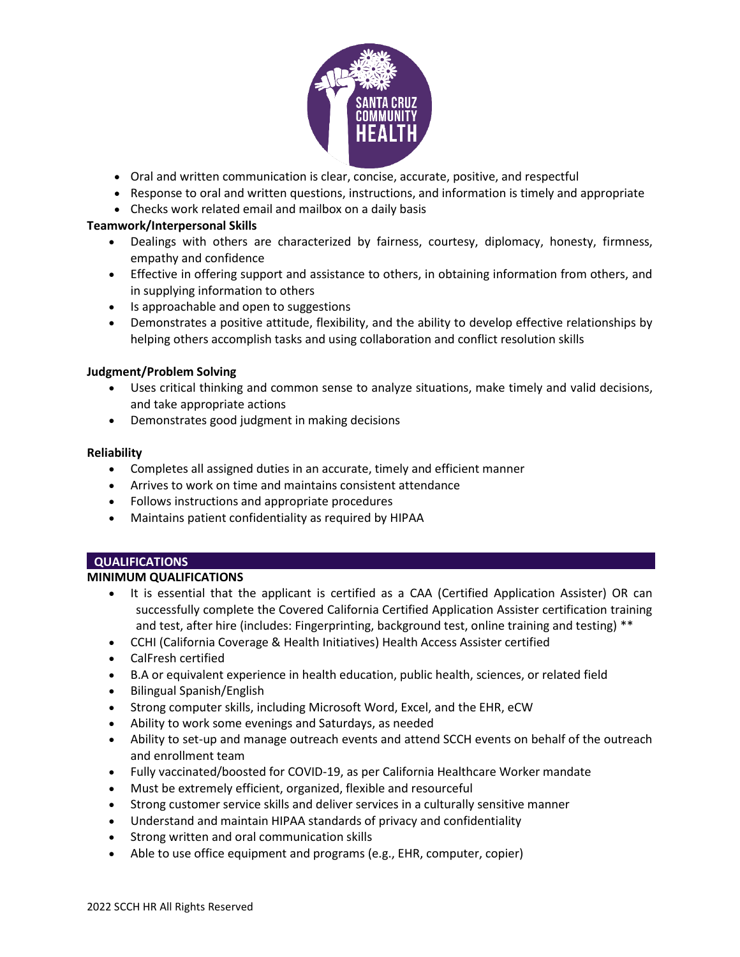

- Oral and written communication is clear, concise, accurate, positive, and respectful
- Response to oral and written questions, instructions, and information is timely and appropriate
- Checks work related email and mailbox on a daily basis

## **Teamwork/Interpersonal Skills**

- Dealings with others are characterized by fairness, courtesy, diplomacy, honesty, firmness, empathy and confidence
- Effective in offering support and assistance to others, in obtaining information from others, and in supplying information to others
- Is approachable and open to suggestions
- Demonstrates a positive attitude, flexibility, and the ability to develop effective relationships by helping others accomplish tasks and using collaboration and conflict resolution skills

## **Judgment/Problem Solving**

- Uses critical thinking and common sense to analyze situations, make timely and valid decisions, and take appropriate actions
- Demonstrates good judgment in making decisions

## **Reliability**

- Completes all assigned duties in an accurate, timely and efficient manner
- Arrives to work on time and maintains consistent attendance
- Follows instructions and appropriate procedures
- Maintains patient confidentiality as required by HIPAA

# **QUALIFICATIONS**

## **MINIMUM QUALIFICATIONS**

- It is essential that the applicant is certified as a CAA (Certified Application Assister) OR can successfully complete the Covered California Certified Application Assister certification training and test, after hire (includes: Fingerprinting, background test, online training and testing) \*\*
- CCHI (California Coverage & Health Initiatives) Health Access Assister certified
- CalFresh certified
- B.A or equivalent experience in health education, public health, sciences, or related field
- Bilingual Spanish/English
- Strong computer skills, including Microsoft Word, Excel, and the EHR, eCW
- Ability to work some evenings and Saturdays, as needed
- Ability to set-up and manage outreach events and attend SCCH events on behalf of the outreach and enrollment team
- Fully vaccinated/boosted for COVID-19, as per California Healthcare Worker mandate
- Must be extremely efficient, organized, flexible and resourceful
- Strong customer service skills and deliver services in a culturally sensitive manner
- Understand and maintain HIPAA standards of privacy and confidentiality
- Strong written and oral communication skills
- Able to use office equipment and programs (e.g., EHR, computer, copier)